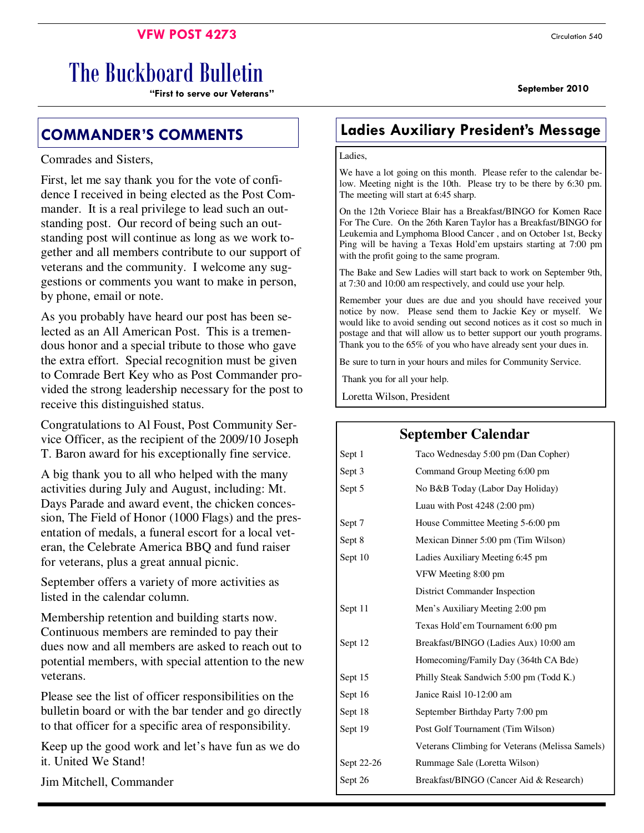### **VFW POST 4273** Circulation 540

# The Buckboard Bulletin

**September 2010 "First to serve our Veterans"** 

#### Comrades and Sisters,

First, let me say thank you for the vote of confidence I received in being elected as the Post Commander. It is a real privilege to lead such an outstanding post. Our record of being such an outstanding post will continue as long as we work together and all members contribute to our support of veterans and the community. I welcome any suggestions or comments you want to make in person, by phone, email or note.

As you probably have heard our post has been selected as an All American Post. This is a tremendous honor and a special tribute to those who gave the extra effort. Special recognition must be given to Comrade Bert Key who as Post Commander provided the strong leadership necessary for the post to receive this distinguished status.

Congratulations to Al Foust, Post Community Service Officer, as the recipient of the 2009/10 Joseph T. Baron award for his exceptionally fine service.

A big thank you to all who helped with the many activities during July and August, including: Mt. Days Parade and award event, the chicken concession, The Field of Honor (1000 Flags) and the presentation of medals, a funeral escort for a local veteran, the Celebrate America BBQ and fund raiser for veterans, plus a great annual picnic.

September offers a variety of more activities as listed in the calendar column.

Membership retention and building starts now. Continuous members are reminded to pay their dues now and all members are asked to reach out to potential members, with special attention to the new veterans.

Please see the list of officer responsibilities on the bulletin board or with the bar tender and go directly to that officer for a specific area of responsibility.

Keep up the good work and let's have fun as we do it. United We Stand!

Jim Mitchell, Commander

### **COMMANDER'S COMMENTS Ladies Auxiliary President's Message**

#### Ladies,

We have a lot going on this month. Please refer to the calendar below. Meeting night is the 10th. Please try to be there by 6:30 pm. The meeting will start at 6:45 sharp.

On the 12th Voriece Blair has a Breakfast/BINGO for Komen Race For The Cure. On the 26th Karen Taylor has a Breakfast/BINGO for Leukemia and Lymphoma Blood Cancer , and on October 1st, Becky Ping will be having a Texas Hold'em upstairs starting at 7:00 pm with the profit going to the same program.

The Bake and Sew Ladies will start back to work on September 9th, at 7:30 and 10:00 am respectively, and could use your help.

Remember your dues are due and you should have received your notice by now. Please send them to Jackie Key or myself. We would like to avoid sending out second notices as it cost so much in postage and that will allow us to better support our youth programs. Thank you to the 65% of you who have already sent your dues in.

Be sure to turn in your hours and miles for Community Service.

**September Calendar**

Thank you for all your help.

Loretta Wilson, President

### Sept 1 Taco Wednesday 5:00 pm (Dan Copher) Sept 3 Command Group Meeting 6:00 pm Sept 5 No B&B Today (Labor Day Holiday) Luau with Post 4248 (2:00 pm) Sept 7 House Committee Meeting 5-6:00 pm Sept 8 Mexican Dinner 5:00 pm (Tim Wilson) Sept 10 Ladies Auxiliary Meeting 6:45 pm VFW Meeting 8:00 pm District Commander Inspection Sept 11 Men's Auxiliary Meeting 2:00 pm Texas Hold'em Tournament 6:00 pm Sept 12 Breakfast/BINGO (Ladies Aux) 10:00 am Homecoming/Family Day (364th CA Bde) Sept 15 Philly Steak Sandwich 5:00 pm (Todd K.) Sept 16 Janice Raisl 10-12:00 am Sept 18 September Birthday Party 7:00 pm Sept 19 Post Golf Tournament (Tim Wilson) Veterans Climbing for Veterans (Melissa Samels) Sept 22-26 Rummage Sale (Loretta Wilson) Sept 26 Breakfast/BINGO (Cancer Aid & Research)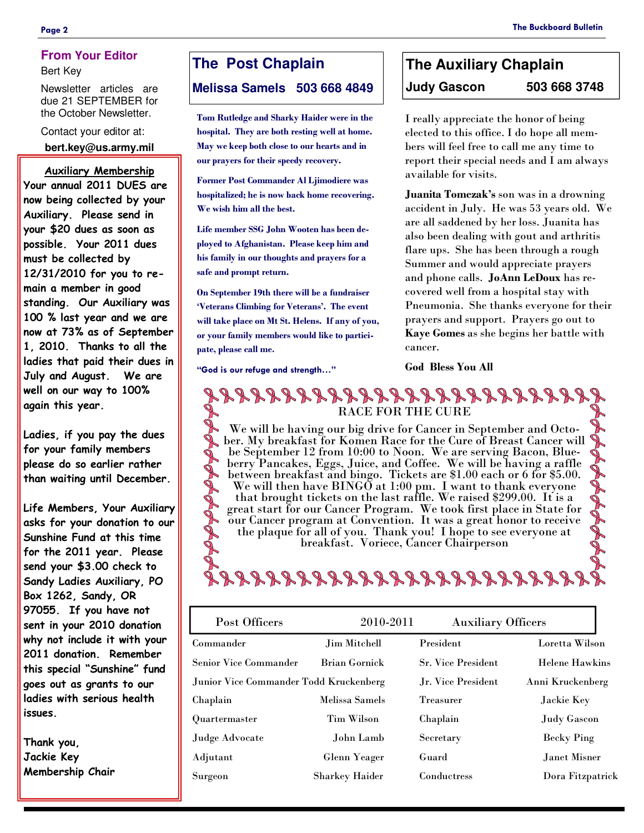#### **Page 2 The Buckboard Bulletin**

#### **From Your Editor**

Bert Key

Newsletter articles are due 21 SEPTEMBER for the October Newsletter.

Contact your editor at: **bert.key@us.army.mil** 

#### **Auxiliary Membership**

**Your annual 2011 DUES are now being collected by your Auxiliary. Please send in your \$20 dues as soon as possible. Your 2011 dues must be collected by 12/31/2010 for you to remain a member in good standing. Our Auxiliary was 100 % last year and we are now at 73% as of September 1, 2010. Thanks to all the ladies that paid their dues in July and August. We are well on our way to 100% again this year.** 

**Ladies, if you pay the dues for your family members please do so earlier rather than waiting until December.** 

**Life Members, Your Auxiliary asks for your donation to our Sunshine Fund at this time for the 2011 year. Please send your \$3.00 check to Sandy Ladies Auxiliary, PO Box 1262, Sandy, OR 97055. If you have not sent in your 2010 donation why not include it with your 2011 donation. Remember this special "Sunshine" fund goes out as grants to our ladies with serious health issues.** 

**Thank you, Jackie Key Membership Chair** 

### **The Post Chaplain**

**Melissa Samels 503 668 4849** 

**Tom Rutledge and Sharky Haider were in the hospital. They are both resting well at home. May we keep both close to our hearts and in our prayers for their speedy recovery.** 

**Former Post Commander Al Ljimodiere was hospitalized; he is now back home recovering. We wish him all the best.** 

**Life member SSG John Wooten has been deployed to Afghanistan. Please keep him and his family in our thoughts and prayers for a safe and prompt return.** 

**On September 19th there will be a fundraiser 'Veterans Climbing for Veterans'. The event will take place on Mt St. Helens. If any of you, or your family members would like to participate, please call me.**

**"God is our refuge and strength…"** 

## **The Auxiliary Chaplain Judy Gascon 503 668 3748**

I really appreciate the honor of being elected to this office. I do hope all members will feel free to call me any time to report their special needs and I am always available for visits.

**Juanita Tomczak's** son was in a drowning accident in July. He was 53 years old. We are all saddened by her loss. Juanita has also been dealing with gout and arthritis flare ups. She has been through a rough Summer and would appreciate prayers and phone calls. **JoAnn LeDoux** has recovered well from a hospital stay with Pneumonia. She thanks everyone for their prayers and support. Prayers go out to **Kaye Gomes** as she begins her battle with cancer.

#### **God Bless You All**

### RACE FOR THE CURE

We will be having our big drive for Cancer in September and October. My breakfast for Komen Race for the Cure of Breast Cancer will be September 12 from 10:00 to Noon. We are serving Bacon, Blueberry Pancakes, Eggs, Juice, and Coffee. We will be having a raffle between breakfast and bingo. Tickets are \$1.00 each or 6 for \$5.00. We will then have BINGO at 1:00 pm. I want to thank everyone that brought tickets on the last raffle. We raised \$299.00. It is a great start for our Cancer Program. We took first place in State for our Cancer program at Convention. It was a great honor to receive the plaque for all of you. Thank you! I hope to see everyone at breakfast. Voriece, Cancer Chairperson



| Post Officers                          | 2010-2011<br><b>Auxiliary Officers</b> |                           |                       |
|----------------------------------------|----------------------------------------|---------------------------|-----------------------|
| Commander                              | Jim Mitchell                           | President                 | Loretta Wilson        |
| <b>Senior Vice Commander</b>           | Brian Gornick                          | <b>Sr. Vice President</b> | <b>Helene Hawkins</b> |
| Junior Vice Commander Todd Kruckenberg |                                        | Jr. Vice President        | Anni Kruckenberg      |
| Chaplain                               | Melissa Samels                         | <b>Treasurer</b>          | Jackie Key            |
| Quartermaster                          | <b>Tim Wilson</b>                      | Chaplain                  | Judy Gascon           |
| Judge Advocate                         | John Lamb                              | Secretary                 | <b>Becky Ping</b>     |
| Adjutant                               | Glenn Yeager                           | Guard                     | Janet Misner          |
| Surgeon                                | <b>Sharkey Haider</b>                  | Conductress               | Dora Fitzpatrick      |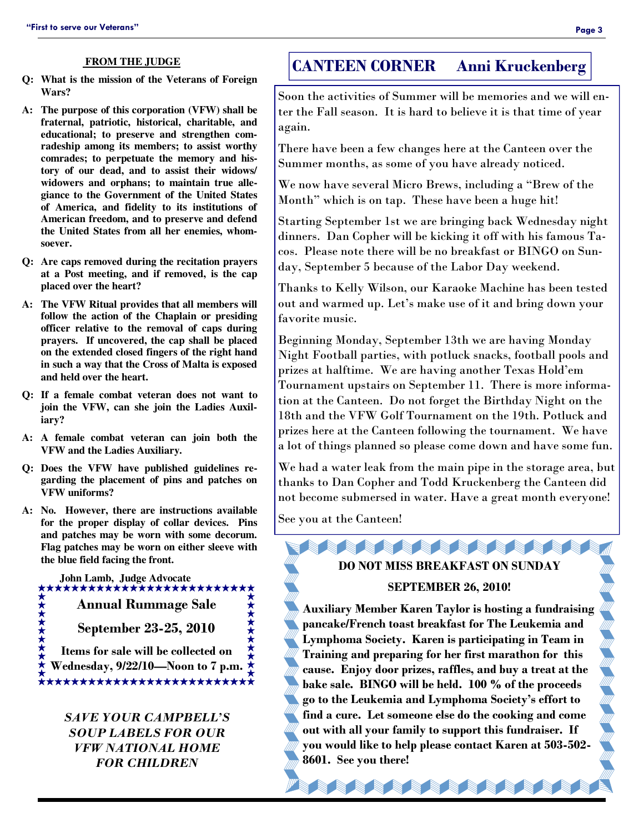#### **FROM THE JUDGE**

- **Q: What is the mission of the Veterans of Foreign Wars?**
- **A: The purpose of this corporation (VFW) shall be fraternal, patriotic, historical, charitable, and educational; to preserve and strengthen comradeship among its members; to assist worthy comrades; to perpetuate the memory and history of our dead, and to assist their widows/ widowers and orphans; to maintain true allegiance to the Government of the United States of America, and fidelity to its institutions of American freedom, and to preserve and defend the United States from all her enemies, whomsoever.**
- **Q: Are caps removed during the recitation prayers at a Post meeting, and if removed, is the cap placed over the heart?**
- **A: The VFW Ritual provides that all members will follow the action of the Chaplain or presiding officer relative to the removal of caps during prayers. If uncovered, the cap shall be placed on the extended closed fingers of the right hand in such a way that the Cross of Malta is exposed and held over the heart.**
- **Q: If a female combat veteran does not want to join the VFW, can she join the Ladies Auxiliary?**
- **A: A female combat veteran can join both the VFW and the Ladies Auxiliary.**
- **Q: Does the VFW have published guidelines regarding the placement of pins and patches on VFW uniforms?**
- **A: No. However, there are instructions available for the proper display of collar devices. Pins and patches may be worn with some decorum. Flag patches may be worn on either sleeve with the blue field facing the front.**

 **John Lamb, Judge Advocate Annual Rummage Sale September 23-25, 2010** 

**Items for sale will be collected on Wednesday, 9/22/10—Noon to 7 p.m.** 

> *SAVE YOUR CAMPBELL'S SOUP LABELS FOR OUR VFW NATIONAL HOME FOR CHILDREN*

### **CANTEEN CORNER Anni Kruckenberg**

Soon the activities of Summer will be memories and we will enter the Fall season. It is hard to believe it is that time of year again.

There have been a few changes here at the Canteen over the Summer months, as some of you have already noticed.

We now have several Micro Brews, including a "Brew of the Month" which is on tap. These have been a huge hit!

Starting September 1st we are bringing back Wednesday night dinners. Dan Copher will be kicking it off with his famous Tacos. Please note there will be no breakfast or BINGO on Sunday, September 5 because of the Labor Day weekend.

Thanks to Kelly Wilson, our Karaoke Machine has been tested out and warmed up. Let's make use of it and bring down your favorite music.

Beginning Monday, September 13th we are having Monday Night Football parties, with potluck snacks, football pools and prizes at halftime. We are having another Texas Hold'em Tournament upstairs on September 11. There is more information at the Canteen. Do not forget the Birthday Night on the 18th and the VFW Golf Tournament on the 19th. Potluck and prizes here at the Canteen following the tournament. We have a lot of things planned so please come down and have some fun.

We had a water leak from the main pipe in the storage area, but thanks to Dan Copher and Todd Kruckenberg the Canteen did not become submersed in water. Have a great month everyone!

See you at the Canteen!

# **DO NOT MISS BREAKFAST ON SUNDAY**

**有着有着有着有着的** 

#### **SEPTEMBER 26, 2010!**

**Auxiliary Member Karen Taylor is hosting a fundraising pancake/French toast breakfast for The Leukemia and Lymphoma Society. Karen is participating in Team in Training and preparing for her first marathon for this cause. Enjoy door prizes, raffles, and buy a treat at the bake sale. BINGO will be held. 100 % of the proceeds go to the Leukemia and Lymphoma Society's effort to find a cure. Let someone else do the cooking and come out with all your family to support this fundraiser. If you would like to help please contact Karen at 503-502- 8601. See you there!** 

增益 医骨髓病 医骨髓病 医骨